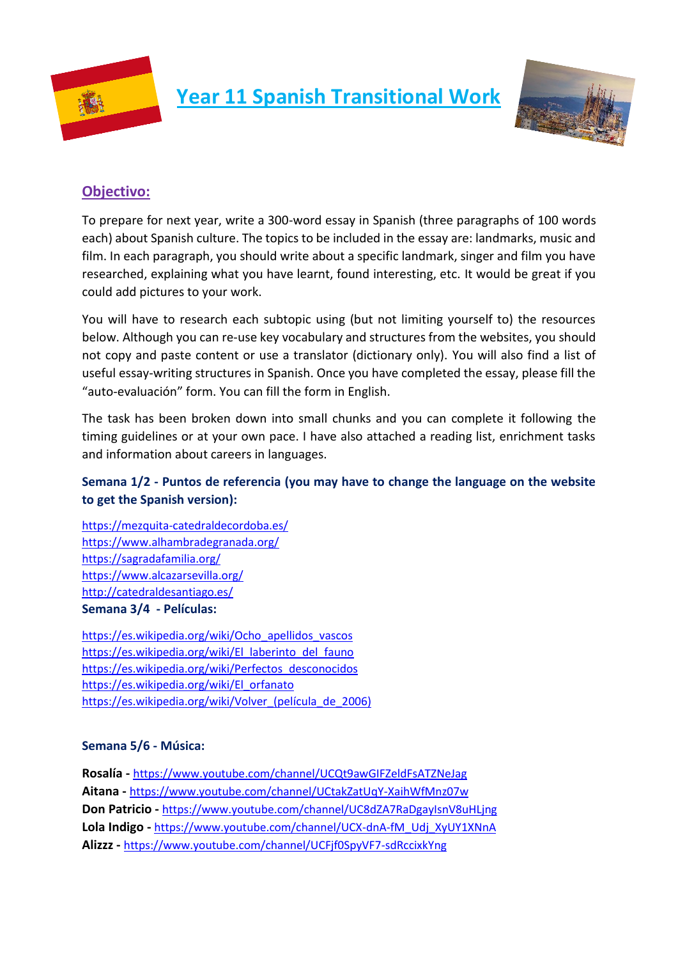

**Year 11 Spanish Transitional Work**



## **Objectivo:**

To prepare for next year, write a 300-word essay in Spanish (three paragraphs of 100 words each) about Spanish culture. The topics to be included in the essay are: landmarks, music and film. In each paragraph, you should write about a specific landmark, singer and film you have researched, explaining what you have learnt, found interesting, etc. It would be great if you could add pictures to your work.

You will have to research each subtopic using (but not limiting yourself to) the resources below. Although you can re-use key vocabulary and structures from the websites, you should not copy and paste content or use a translator (dictionary only). You will also find a list of useful essay-writing structures in Spanish. Once you have completed the essay, please fill the "auto-evaluación" form. You can fill the form in English.

The task has been broken down into small chunks and you can complete it following the timing guidelines or at your own pace. I have also attached a reading list, enrichment tasks and information about careers in languages.

## **Semana 1/2 - Puntos de referencia (you may have to change the language on the website to get the Spanish version):**

<https://mezquita-catedraldecordoba.es/> <https://www.alhambradegranada.org/> <https://sagradafamilia.org/> <https://www.alcazarsevilla.org/> <http://catedraldesantiago.es/> **Semana 3/4 - Películas:**

[https://es.wikipedia.org/wiki/Ocho\\_apellidos\\_vascos](https://es.wikipedia.org/wiki/Ocho_apellidos_vascos) [https://es.wikipedia.org/wiki/El\\_laberinto\\_del\\_fauno](https://es.wikipedia.org/wiki/El_laberinto_del_fauno) [https://es.wikipedia.org/wiki/Perfectos\\_desconocidos](https://es.wikipedia.org/wiki/Perfectos_desconocidos) [https://es.wikipedia.org/wiki/El\\_orfanato](https://es.wikipedia.org/wiki/El_orfanato) https://es.wikipedia.org/wiki/Volver (película de 2006)

### **Semana 5/6 - Música:**

**Rosalía -** <https://www.youtube.com/channel/UCQt9awGIFZeldFsATZNeJag> **Aitana -** <https://www.youtube.com/channel/UCtakZatUqY-XaihWfMnz07w> **Don Patricio -** <https://www.youtube.com/channel/UC8dZA7RaDgayIsnV8uHLjng> **Lola Indigo -** [https://www.youtube.com/channel/UCX-dnA-fM\\_Udj\\_XyUY1XNnA](https://www.youtube.com/channel/UCX-dnA-fM_Udj_XyUY1XNnA) **Alizzz -** <https://www.youtube.com/channel/UCFjf0SpyVF7-sdRccixkYng>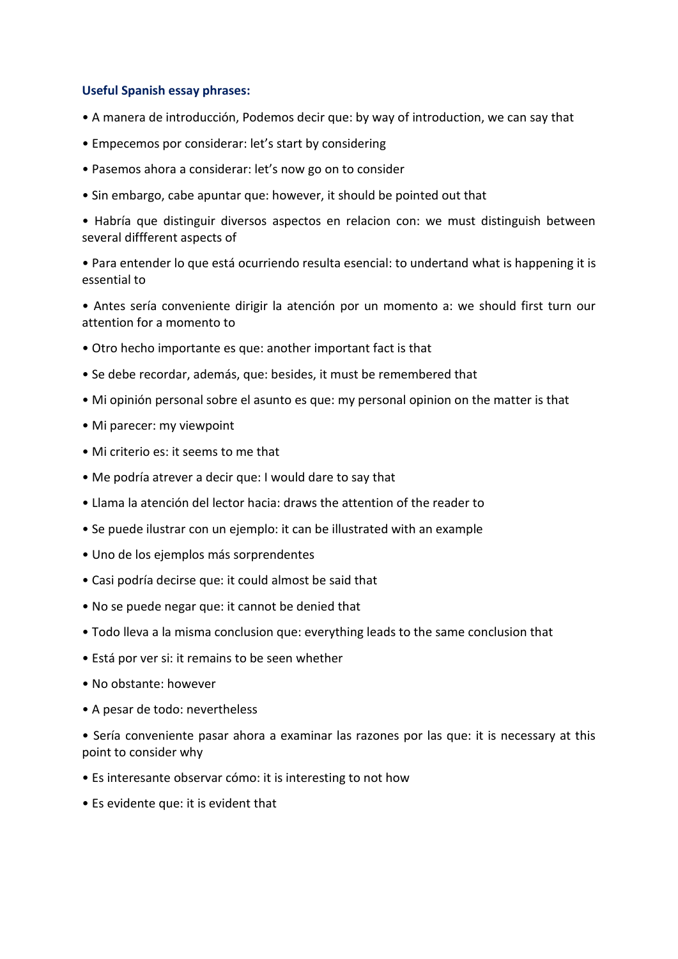#### **Useful Spanish essay phrases:**

- A manera de introducción, Podemos decir que: by way of introduction, we can say that
- Empecemos por considerar: let's start by considering
- Pasemos ahora a considerar: let's now go on to consider
- Sin embargo, cabe apuntar que: however, it should be pointed out that

• Habría que distinguir diversos aspectos en relacion con: we must distinguish between several diffferent aspects of

• Para entender lo que está ocurriendo resulta esencial: to undertand what is happening it is essential to

• Antes sería conveniente dirigir la atención por un momento a: we should first turn our attention for a momento to

- Otro hecho importante es que: another important fact is that
- Se debe recordar, además, que: besides, it must be remembered that
- Mi opinión personal sobre el asunto es que: my personal opinion on the matter is that
- Mi parecer: my viewpoint
- Mi criterio es: it seems to me that
- Me podría atrever a decir que: I would dare to say that
- Llama la atención del lector hacia: draws the attention of the reader to
- Se puede ilustrar con un ejemplo: it can be illustrated with an example
- Uno de los ejemplos más sorprendentes
- Casi podría decirse que: it could almost be said that
- No se puede negar que: it cannot be denied that
- Todo lleva a la misma conclusion que: everything leads to the same conclusion that
- Está por ver si: it remains to be seen whether
- No obstante: however
- A pesar de todo: nevertheless

• Sería conveniente pasar ahora a examinar las razones por las que: it is necessary at this point to consider why

- Es interesante observar cómo: it is interesting to not how
- Es evidente que: it is evident that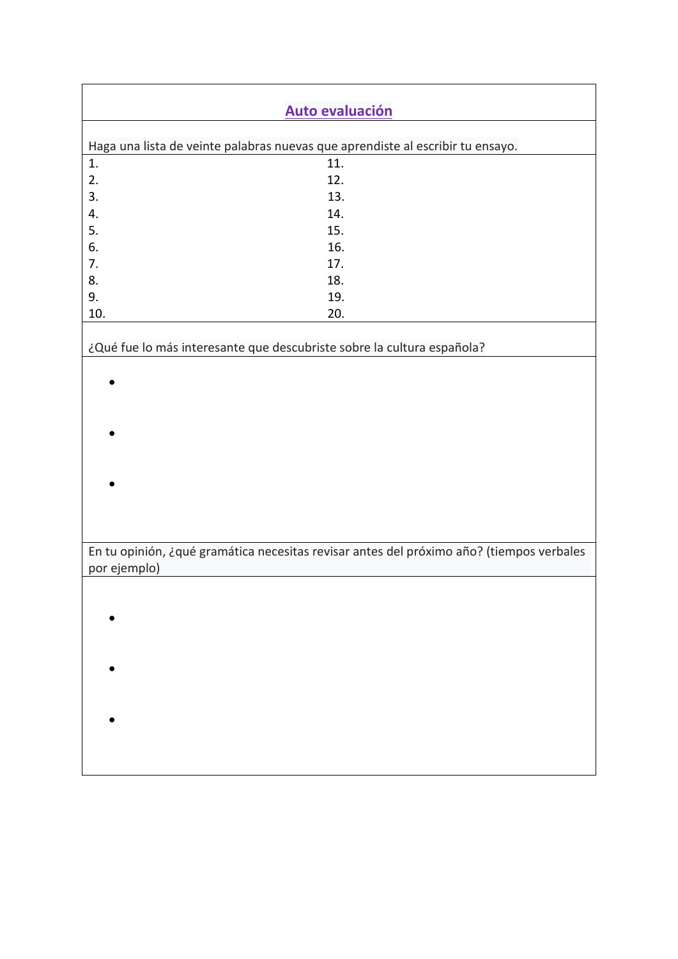|                                                                                | <b>Auto evaluación</b>                                                                   |  |  |  |  |
|--------------------------------------------------------------------------------|------------------------------------------------------------------------------------------|--|--|--|--|
|                                                                                |                                                                                          |  |  |  |  |
| Haga una lista de veinte palabras nuevas que aprendiste al escribir tu ensayo. |                                                                                          |  |  |  |  |
| 1.                                                                             | 11.                                                                                      |  |  |  |  |
| 2.                                                                             | 12.                                                                                      |  |  |  |  |
| 3.                                                                             | 13.                                                                                      |  |  |  |  |
| 4.                                                                             | 14.                                                                                      |  |  |  |  |
| 5.                                                                             | 15.                                                                                      |  |  |  |  |
| 6.                                                                             | 16.                                                                                      |  |  |  |  |
| 7.                                                                             | 17.                                                                                      |  |  |  |  |
| 8.<br>9.                                                                       | 18.<br>19.                                                                               |  |  |  |  |
| 10.                                                                            | 20.                                                                                      |  |  |  |  |
|                                                                                |                                                                                          |  |  |  |  |
|                                                                                | ¿Qué fue lo más interesante que descubriste sobre la cultura española?                   |  |  |  |  |
|                                                                                |                                                                                          |  |  |  |  |
|                                                                                |                                                                                          |  |  |  |  |
|                                                                                |                                                                                          |  |  |  |  |
|                                                                                |                                                                                          |  |  |  |  |
|                                                                                |                                                                                          |  |  |  |  |
|                                                                                |                                                                                          |  |  |  |  |
|                                                                                |                                                                                          |  |  |  |  |
|                                                                                |                                                                                          |  |  |  |  |
|                                                                                |                                                                                          |  |  |  |  |
|                                                                                |                                                                                          |  |  |  |  |
|                                                                                |                                                                                          |  |  |  |  |
| por ejemplo)                                                                   | En tu opinión, ¿qué gramática necesitas revisar antes del próximo año? (tiempos verbales |  |  |  |  |
|                                                                                |                                                                                          |  |  |  |  |
|                                                                                |                                                                                          |  |  |  |  |
|                                                                                |                                                                                          |  |  |  |  |
|                                                                                |                                                                                          |  |  |  |  |
|                                                                                |                                                                                          |  |  |  |  |
|                                                                                |                                                                                          |  |  |  |  |
|                                                                                |                                                                                          |  |  |  |  |
|                                                                                |                                                                                          |  |  |  |  |
|                                                                                |                                                                                          |  |  |  |  |
|                                                                                |                                                                                          |  |  |  |  |
|                                                                                |                                                                                          |  |  |  |  |
|                                                                                |                                                                                          |  |  |  |  |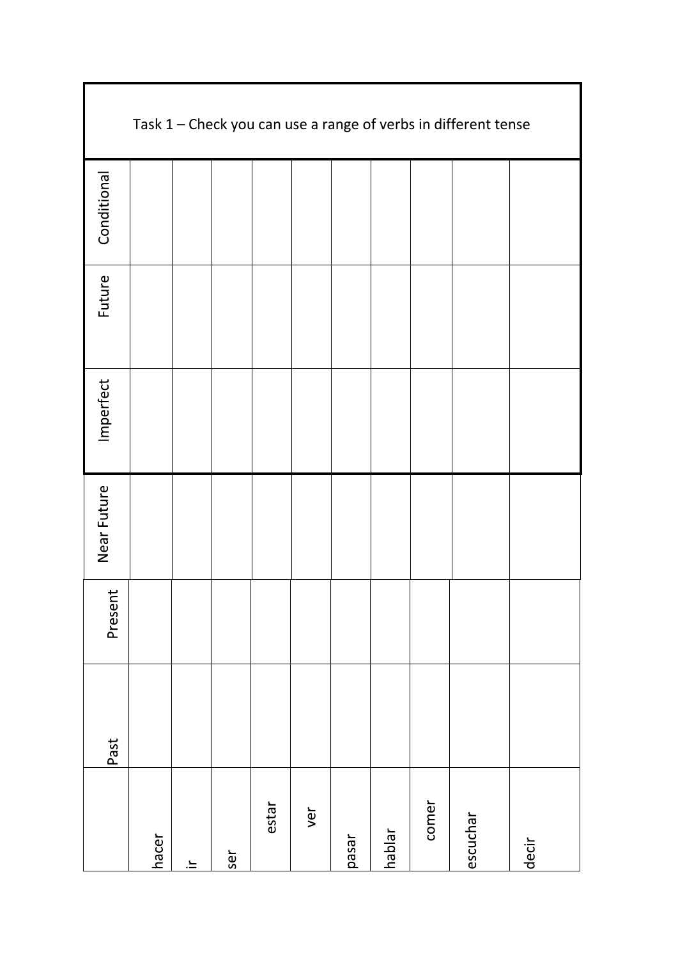| Task 1 - Check you can use a range of verbs in different tense |       |    |     |       |     |       |        |       |          |       |
|----------------------------------------------------------------|-------|----|-----|-------|-----|-------|--------|-------|----------|-------|
| Conditional                                                    |       |    |     |       |     |       |        |       |          |       |
| Future                                                         |       |    |     |       |     |       |        |       |          |       |
| Imperfect                                                      |       |    |     |       |     |       |        |       |          |       |
| Near Future                                                    |       |    |     |       |     |       |        |       |          |       |
| Present                                                        |       |    |     |       |     |       |        |       |          |       |
| Past                                                           |       |    |     |       |     |       |        |       |          |       |
|                                                                | hacer | ≟. | ser | estar | ver | pasar | hablar | comer | escuchar | decir |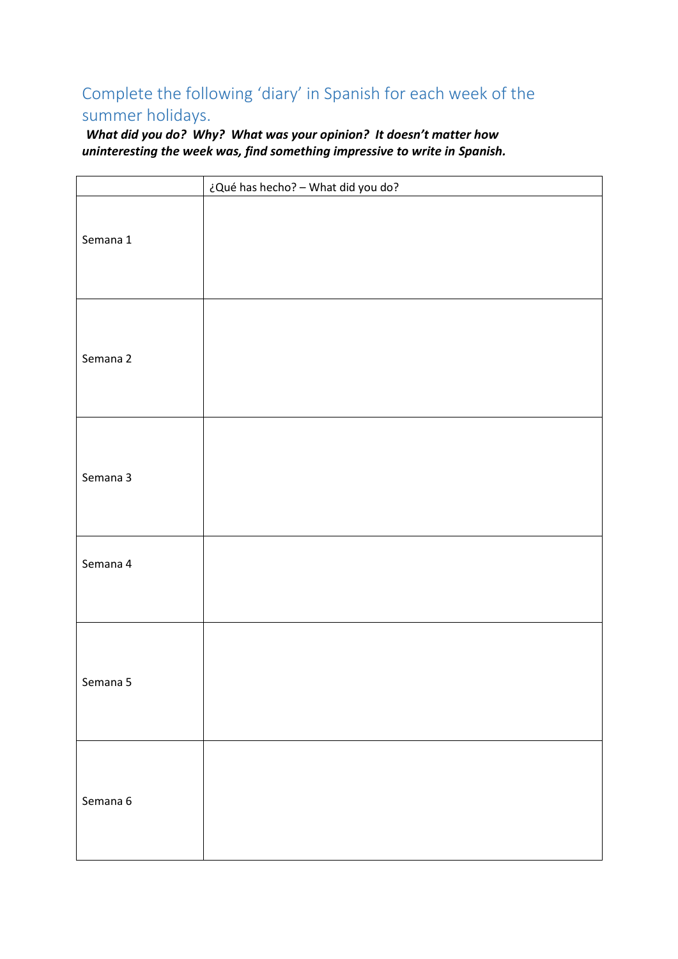# Complete the following 'diary' in Spanish for each week of the summer holidays.

*What did you do? Why? What was your opinion? It doesn't matter how uninteresting the week was, find something impressive to write in Spanish.* 

|          | ¿Qué has hecho? - What did you do? |
|----------|------------------------------------|
| Semana 1 |                                    |
| Semana 2 |                                    |
| Semana 3 |                                    |
| Semana 4 |                                    |
| Semana 5 |                                    |
| Semana 6 |                                    |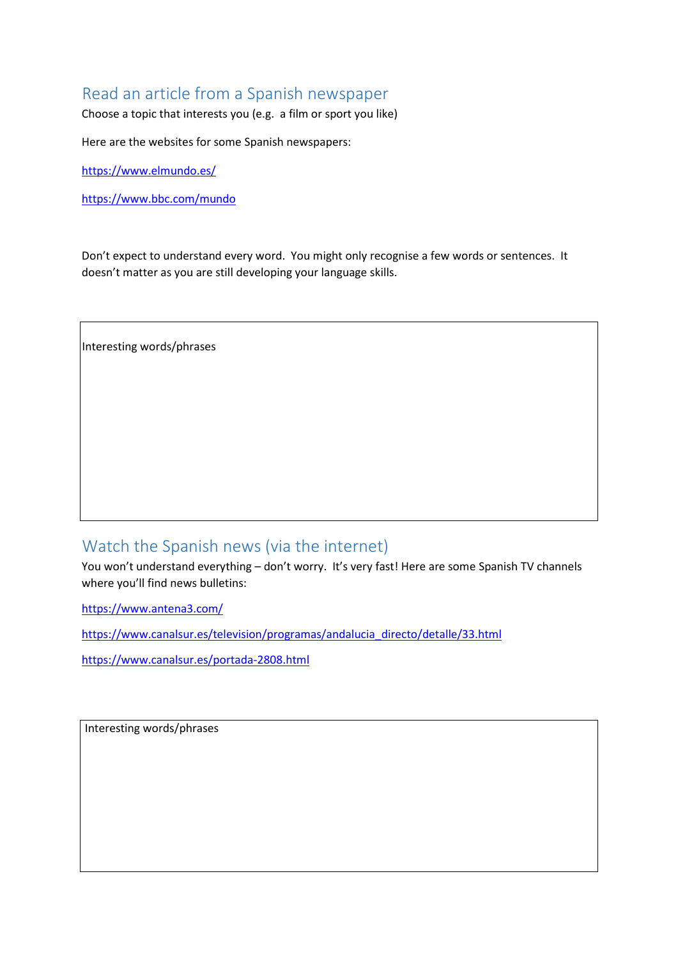## Read an article from a Spanish newspaper

Choose a topic that interests you (e.g. a film or sport you like)

Here are the websites for some Spanish newspapers:

<https://www.elmundo.es/>

<https://www.bbc.com/mundo>

Don't expect to understand every word. You might only recognise a few words or sentences. It doesn't matter as you are still developing your language skills.

Interesting words/phrases

## Watch the Spanish news (via the internet)

You won't understand everything – don't worry. It's very fast! Here are some Spanish TV channels where you'll find news bulletins:

<https://www.antena3.com/>

[https://www.canalsur.es/television/programas/andalucia\\_directo/detalle/33.html](https://www.canalsur.es/television/programas/andalucia_directo/detalle/33.html)

<https://www.canalsur.es/portada-2808.html>

Interesting words/phrases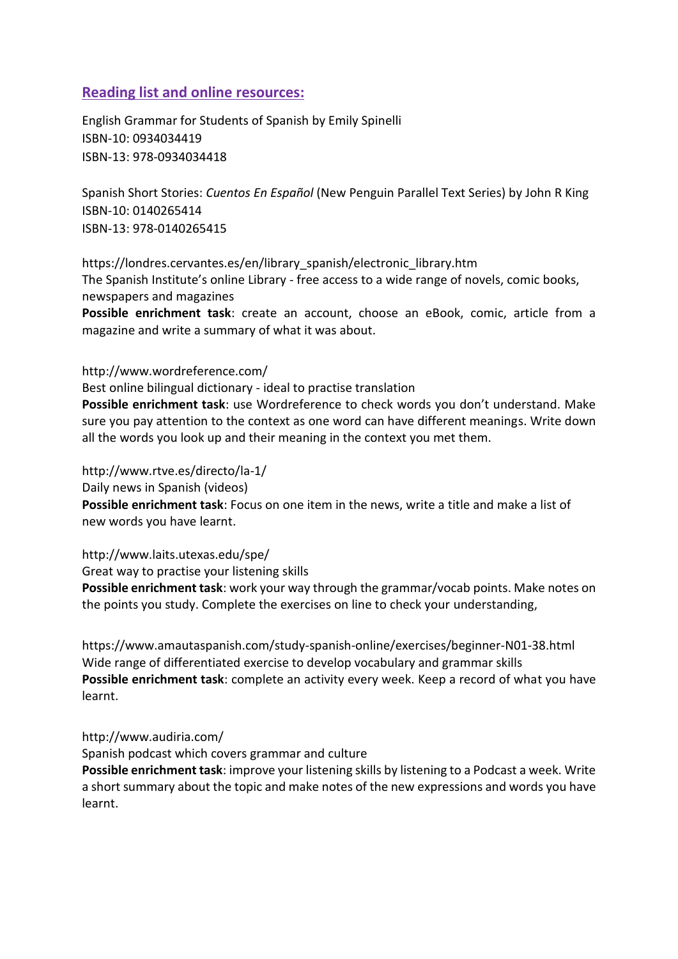### **Reading list and online resources:**

English Grammar for Students of Spanish by Emily Spinelli ISBN-10: 0934034419 ISBN-13: 978-0934034418

Spanish Short Stories: *Cuentos En Español* (New Penguin Parallel Text Series) by John R King ISBN-10: 0140265414 ISBN-13: 978-0140265415

https://londres.cervantes.es/en/library\_spanish/electronic\_library.htm The Spanish Institute's online Library - free access to a wide range of novels, comic books, newspapers and magazines

**Possible enrichment task**: create an account, choose an eBook, comic, article from a magazine and write a summary of what it was about.

#### http://www.wordreference.com/

Best online bilingual dictionary - ideal to practise translation

**Possible enrichment task**: use Wordreference to check words you don't understand. Make sure you pay attention to the context as one word can have different meanings. Write down all the words you look up and their meaning in the context you met them.

http://www.rtve.es/directo/la-1/

Daily news in Spanish (videos)

**Possible enrichment task**: Focus on one item in the news, write a title and make a list of new words you have learnt.

http://www.laits.utexas.edu/spe/

Great way to practise your listening skills

**Possible enrichment task**: work your way through the grammar/vocab points. Make notes on the points you study. Complete the exercises on line to check your understanding,

https://www.amautaspanish.com/study-spanish-online/exercises/beginner-N01-38.html Wide range of differentiated exercise to develop vocabulary and grammar skills **Possible enrichment task**: complete an activity every week. Keep a record of what you have learnt.

#### http://www.audiria.com/

Spanish podcast which covers grammar and culture

**Possible enrichment task**: improve your listening skills by listening to a Podcast a week. Write a short summary about the topic and make notes of the new expressions and words you have learnt.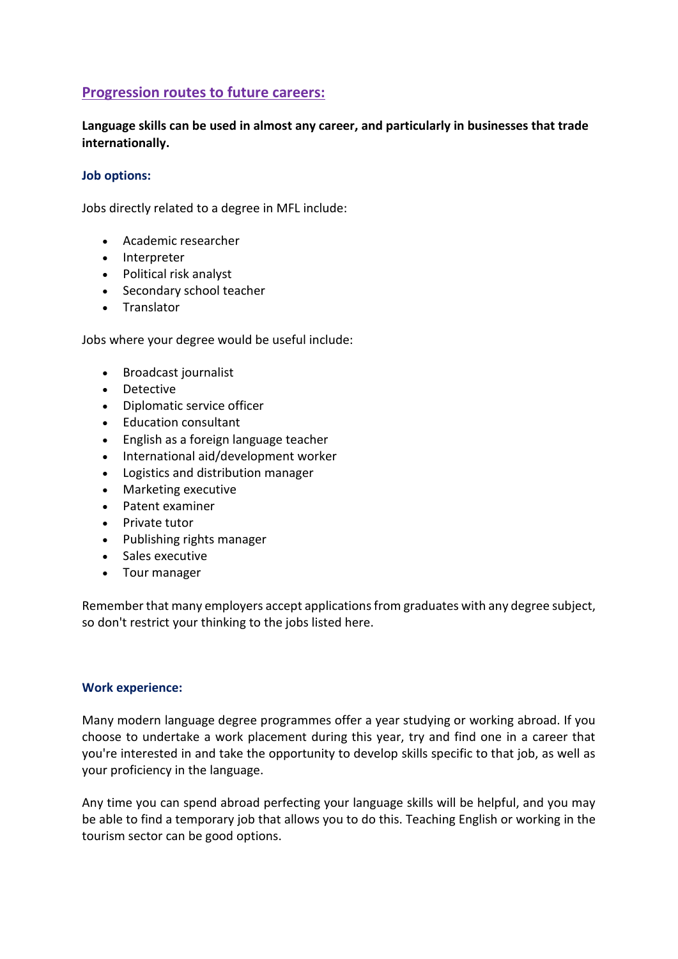## **Progression routes to future careers:**

**Language skills can be used in almost any career, and particularly in businesses that trade internationally.**

#### **Job options:**

Jobs directly related to a degree in MFL include:

- [Academic researcher](https://www.prospects.ac.uk/job-profiles/academic-researcher)
- [Interpreter](https://www.prospects.ac.uk/job-profiles/interpreter)
- [Political risk analyst](https://www.prospects.ac.uk/job-profiles/political-risk-analyst)
- [Secondary school teacher](https://www.prospects.ac.uk/job-profiles/secondary-school-teacher)
- [Translator](https://www.prospects.ac.uk/job-profiles/translator)

Jobs where your degree would be useful include:

- [Broadcast journalist](https://www.prospects.ac.uk/job-profiles/broadcast-journalist)
- [Detective](https://www.prospects.ac.uk/job-profiles/detective)
- [Diplomatic service officer](https://www.prospects.ac.uk/job-profiles/diplomatic-service-officer)
- [Education consultant](https://www.prospects.ac.uk/job-profiles/education-consultant)
- [English as a foreign language teacher](https://www.prospects.ac.uk/job-profiles/english-as-a-foreign-language-teacher)
- [International aid/development worker](https://www.prospects.ac.uk/job-profiles/international-aid-development-worker)
- [Logistics and distribution manager](https://www.prospects.ac.uk/job-profiles/logistics-and-distribution-manager)
- [Marketing executive](https://www.prospects.ac.uk/job-profiles/marketing-executive)
- [Patent examiner](https://www.prospects.ac.uk/job-profiles/patent-examiner)
- [Private tutor](https://www.prospects.ac.uk/job-profiles/private-tutor)
- [Publishing rights manager](https://www.prospects.ac.uk/job-profiles/publishing-rights-manager)
- [Sales executive](https://www.prospects.ac.uk/job-profiles/sales-executive)
- [Tour manager](https://www.prospects.ac.uk/job-profiles/tour-manager)

Remember that many employers accept applications from graduates with any degree subject, so don't restrict your thinking to the jobs listed here.

#### **Work experience:**

Many modern language degree programmes offer a year studying or working abroad. If you choose to undertake a work placement during this year, try and find one in a career that you're interested in and take the opportunity to develop skills specific to that job, as well as your proficiency in the language.

Any time you can spend abroad perfecting your language skills will be helpful, and you may be able to find a temporary job that allows you to do this. Teaching English or working in the tourism sector can be good options.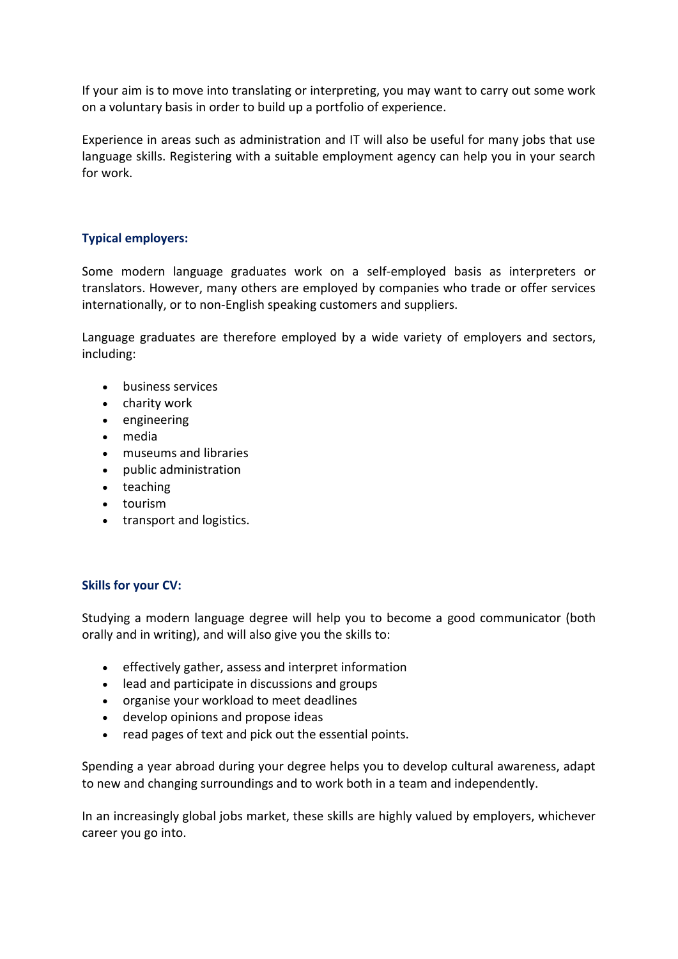If your aim is to move into translating or interpreting, you may want to carry out some work on a voluntary basis in order to build up a portfolio of experience.

Experience in areas such as administration and IT will also be useful for many jobs that use language skills. Registering with a suitable employment agency can help you in your search for work.

#### **Typical employers:**

Some modern language graduates work on a self-employed basis as interpreters or translators. However, many others are employed by companies who trade or offer services internationally, or to non-English speaking customers and suppliers.

Language graduates are therefore employed by a wide variety of employers and sectors, including:

- business services
- charity work
- engineering
- media
- museums and libraries
- public administration
- teaching
- tourism
- transport and logistics.

#### **Skills for your CV:**

Studying a modern language degree will help you to become a good communicator (both orally and in writing), and will also give you the skills to:

- effectively gather, assess and interpret information
- lead and participate in discussions and groups
- organise your workload to meet deadlines
- develop opinions and propose ideas
- read pages of text and pick out the essential points.

Spending a year abroad during your degree helps you to develop cultural awareness, adapt to new and changing surroundings and to work both in a team and independently.

In an increasingly global jobs market, these skills are highly valued by employers, whichever career you go into.